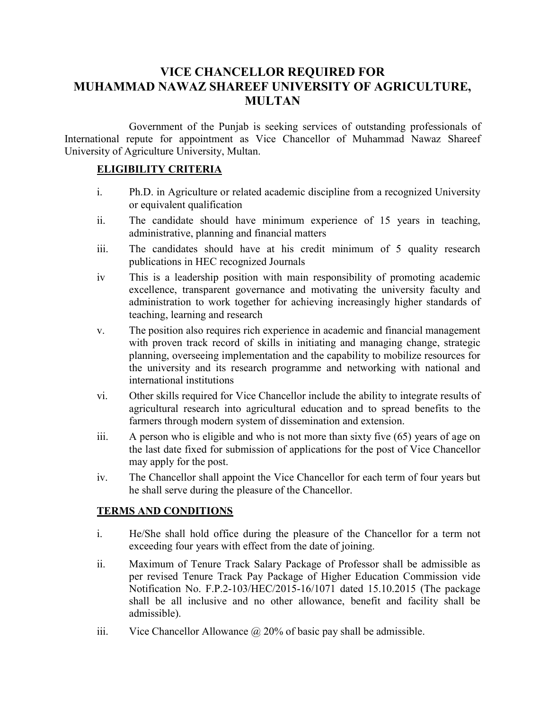## VICE CHANCELLOR REQUIRED FOR MUHAMMAD NAWAZ SHAREEF UNIVERSITY OF AGRICULTURE, MULTAN

 Government of the Punjab is seeking services of outstanding professionals of International repute for appointment as Vice Chancellor of Muhammad Nawaz Shareef University of Agriculture University, Multan.

## ELIGIBILITY CRITERIA

- i. Ph.D. in Agriculture or related academic discipline from a recognized University or equivalent qualification
- ii. The candidate should have minimum experience of 15 years in teaching, administrative, planning and financial matters
- iii. The candidates should have at his credit minimum of 5 quality research publications in HEC recognized Journals
- iv This is a leadership position with main responsibility of promoting academic excellence, transparent governance and motivating the university faculty and administration to work together for achieving increasingly higher standards of teaching, learning and research
- v. The position also requires rich experience in academic and financial management with proven track record of skills in initiating and managing change, strategic planning, overseeing implementation and the capability to mobilize resources for the university and its research programme and networking with national and international institutions
- vi. Other skills required for Vice Chancellor include the ability to integrate results of agricultural research into agricultural education and to spread benefits to the farmers through modern system of dissemination and extension.
- iii. A person who is eligible and who is not more than sixty five (65) years of age on the last date fixed for submission of applications for the post of Vice Chancellor may apply for the post.
- iv. The Chancellor shall appoint the Vice Chancellor for each term of four years but he shall serve during the pleasure of the Chancellor.

## TERMS AND CONDITIONS

- i. He/She shall hold office during the pleasure of the Chancellor for a term not exceeding four years with effect from the date of joining.
- ii. Maximum of Tenure Track Salary Package of Professor shall be admissible as per revised Tenure Track Pay Package of Higher Education Commission vide Notification No. F.P.2-103/HEC/2015-16/1071 dated 15.10.2015 (The package shall be all inclusive and no other allowance, benefit and facility shall be admissible).
- iii. Vice Chancellor Allowance  $\omega$  20% of basic pay shall be admissible.